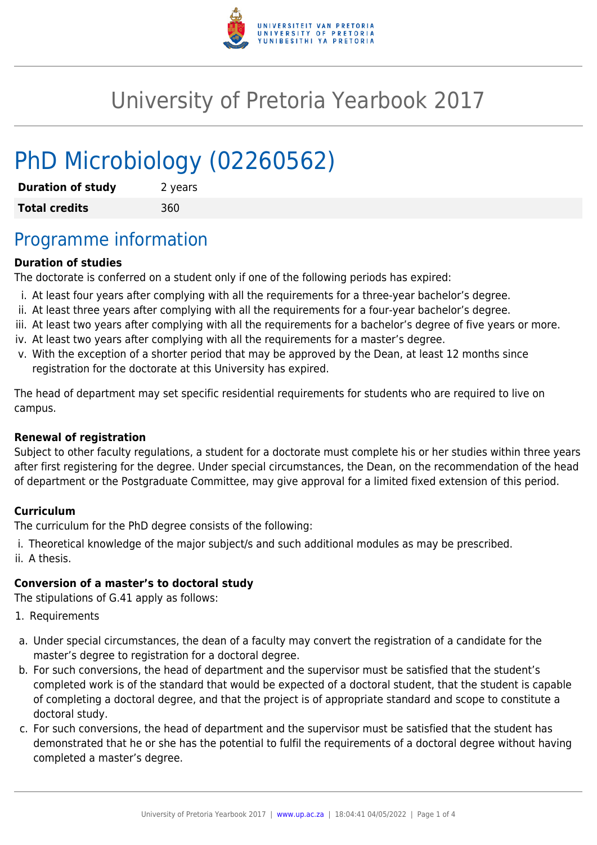

# University of Pretoria Yearbook 2017

# PhD Microbiology (02260562)

| <b>Duration of study</b> | 2 years |
|--------------------------|---------|
| <b>Total credits</b>     | 360     |

### Programme information

#### **Duration of studies**

The doctorate is conferred on a student only if one of the following periods has expired:

- i. At least four years after complying with all the requirements for a three-year bachelor's degree.
- ii. At least three years after complying with all the requirements for a four-year bachelor's degree.
- iii. At least two years after complying with all the requirements for a bachelor's degree of five years or more.
- iv. At least two years after complying with all the requirements for a master's degree.
- v. With the exception of a shorter period that may be approved by the Dean, at least 12 months since registration for the doctorate at this University has expired.

The head of department may set specific residential requirements for students who are required to live on campus.

#### **Renewal of registration**

Subject to other faculty regulations, a student for a doctorate must complete his or her studies within three years after first registering for the degree. Under special circumstances, the Dean, on the recommendation of the head of department or the Postgraduate Committee, may give approval for a limited fixed extension of this period.

#### **Curriculum**

The curriculum for the PhD degree consists of the following:

i. Theoretical knowledge of the major subject/s and such additional modules as may be prescribed. ii. A thesis.

#### **Conversion of a master's to doctoral study**

The stipulations of G.41 apply as follows:

- 1. Requirements
- a. Under special circumstances, the dean of a faculty may convert the registration of a candidate for the master's degree to registration for a doctoral degree.
- b. For such conversions, the head of department and the supervisor must be satisfied that the student's completed work is of the standard that would be expected of a doctoral student, that the student is capable of completing a doctoral degree, and that the project is of appropriate standard and scope to constitute a doctoral study.
- c. For such conversions, the head of department and the supervisor must be satisfied that the student has demonstrated that he or she has the potential to fulfil the requirements of a doctoral degree without having completed a master's degree.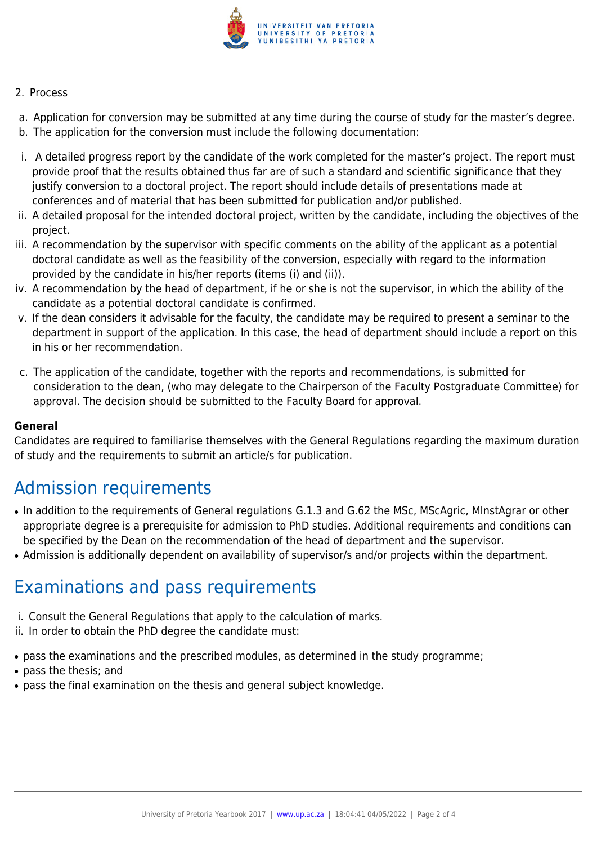

#### 2. Process

- a. Application for conversion may be submitted at any time during the course of study for the master's degree.
- b. The application for the conversion must include the following documentation:
- i. A detailed progress report by the candidate of the work completed for the master's project. The report must provide proof that the results obtained thus far are of such a standard and scientific significance that they justify conversion to a doctoral project. The report should include details of presentations made at conferences and of material that has been submitted for publication and/or published.
- ii. A detailed proposal for the intended doctoral project, written by the candidate, including the objectives of the project.
- iii. A recommendation by the supervisor with specific comments on the ability of the applicant as a potential doctoral candidate as well as the feasibility of the conversion, especially with regard to the information provided by the candidate in his/her reports (items (i) and (ii)).
- iv. A recommendation by the head of department, if he or she is not the supervisor, in which the ability of the candidate as a potential doctoral candidate is confirmed.
- v. If the dean considers it advisable for the faculty, the candidate may be required to present a seminar to the department in support of the application. In this case, the head of department should include a report on this in his or her recommendation.
- c. The application of the candidate, together with the reports and recommendations, is submitted for consideration to the dean, (who may delegate to the Chairperson of the Faculty Postgraduate Committee) for approval. The decision should be submitted to the Faculty Board for approval.

#### **General**

Candidates are required to familiarise themselves with the General Regulations regarding the maximum duration of study and the requirements to submit an article/s for publication.

## Admission requirements

- In addition to the requirements of General requiations G.1.3 and G.62 the MSc, MScAgric, MinstAgrar or other appropriate degree is a prerequisite for admission to PhD studies. Additional requirements and conditions can be specified by the Dean on the recommendation of the head of department and the supervisor.
- Admission is additionally dependent on availability of supervisor/s and/or projects within the department.

### Examinations and pass requirements

- i. Consult the General Regulations that apply to the calculation of marks.
- ii. In order to obtain the PhD degree the candidate must:
- pass the examinations and the prescribed modules, as determined in the study programme;
- pass the thesis; and
- pass the final examination on the thesis and general subject knowledge.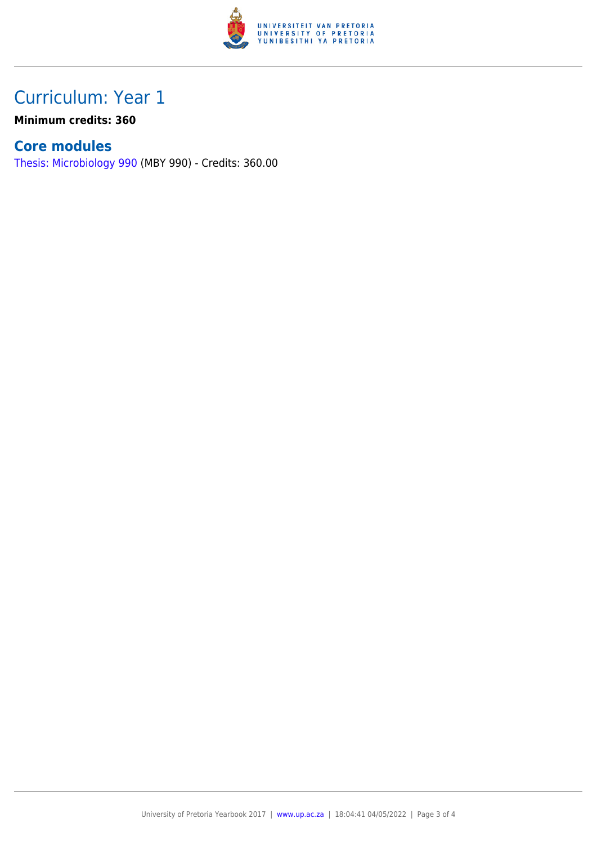

## Curriculum: Year 1

**Minimum credits: 360**

### **Core modules**

[Thesis: Microbiology 990](https://www.up.ac.za/faculty-of-education/yearbooks/2017/modules/view/MBY 990) (MBY 990) - Credits: 360.00